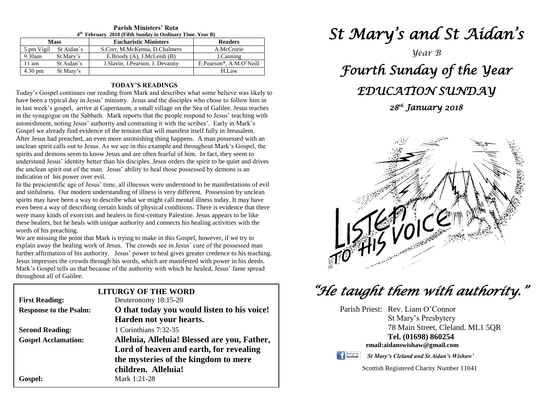| 4 <sup>th</sup> February 2018 (Fifth Sunday in Ordinary Time. Year B) |                       |                                   |                         |  |  |
|-----------------------------------------------------------------------|-----------------------|-----------------------------------|-------------------------|--|--|
| <b>Mass</b>                                                           |                       | <b>Eucharistic Ministers</b>      | <b>Readers</b>          |  |  |
|                                                                       | 5 pm Vigil St Aidan's | S.Corr, M.McKenna, D.Chalmers     | A.McCrorie              |  |  |
| $9.30$ am                                                             | St Mary's             | E.Briody (A), J.McLeish (B)       | J.Canning               |  |  |
| 11 am                                                                 | St Aidan's            | J. Slavin, J. Pearson, J. Devanny | E.Pearson*, A.M.O'Neill |  |  |
| $4.30 \text{ pm}$                                                     | St Mary's             |                                   | H.Law                   |  |  |

#### **Parish Ministers' Rota February 2018 (Fifth Sunday in Ordinary Time. Year B)**

#### **TODAY'S READINGS**

Today's Gospel continues our reading from Mark and describes what some believe was likely to have been a typical day in Jesus' ministry. Jesus and the disciples who chose to follow him in in last week's gospel, arrive at Capernaum, a small village on the Sea of Galilee. Jesus teaches in the synagogue on the Sabbath. Mark reports that the people respond to Jesus' teaching with astonishment, noting Jesus' authority and contrasting it with the scribes'. Early in Mark's Gospel we already find evidence of the tension that will manifest itself fully in Jerusalem. After Jesus had preached, an even more astonishing thing happens. A man possessed with an unclean spirit calls out to Jesus. As we see in this example and throughout Mark's Gospel, the spirits and demons seem to know Jesus and are often fearful of him. In fact, they seem to understand Jesus' identity better than his disciples. Jesus orders the spirit to be quiet and drives the unclean spirit out of the man. Jesus' ability to heal those possessed by demons is an indication of his power over evil.

even been a way of describing certain kinds of physical conditions. There is evidence that there were many kinds of exorcists and healers in first-century Palestine. Jesus appears to be like In the prescientific age of Jesus' time, all illnesses were understood to be manifestations of evil and sinfulness. Our modern understanding of illness is very different. Possession by unclean spirits may have been a way to describe what we might call mental illness today. It may have were many kinds of exorcists and healers in first-century Palestine. Jesus appears to be like these healers, but he heals with unique authority and connects his healing activities with the words of his preaching.

words of his preaching.<br>We are missing the point that Mark is trying to make in this Gospel, however, if we try to further affirmation of his authority. Jesus' power to heal gives greater credence to his teaching.<br>Jesus impresses the crowds through his words, which are manifested with power in his deeds.  explain away the healing work of Jesus. The crowds see in Jesus' cure of the possessed man Jesus impresses the crowds through his words, which are manifested with power in his deeds. Mark's Gospel tells us that because of the authority with which he healed, Jesus' fame spread throughout all of Galilee.

| <b>LITURGY OF THE WORD</b>    |                                              |  |  |  |
|-------------------------------|----------------------------------------------|--|--|--|
| <b>First Reading:</b>         | Deuteronomy 18:15-20                         |  |  |  |
| <b>Response to the Psalm:</b> | O that today you would listen to his voice!  |  |  |  |
|                               | Harden not your hearts.                      |  |  |  |
| <b>Second Reading:</b>        | 1 Corinthians 7:32-35                        |  |  |  |
| <b>Gospel Acclamation:</b>    | Alleluia, Alleluia! Blessed are you, Father, |  |  |  |
|                               | Lord of heaven and earth, for revealing      |  |  |  |
|                               | the mysteries of the kingdom to mere         |  |  |  |
|                               | children. Alleluia!                          |  |  |  |
| Gospel:                       | Mark 1:21-28                                 |  |  |  |

## *St Mary's and St Aidan's*

*Year B*

# *Fourth Sunday of the Year EDUCATION SUNDAY*

### *28th January 2018*



### *"He taught them with authority."*

Parish Priest: Rev. Liam O'Connor St Mary's Presbytery 78 Main Street, Cleland. ML1 5QR **Tel. (01698) 860254 email:aidanswishaw@gmail.com**

Find us on

*'St Mary's Cleland and St Aidan's Wishaw'*

Scottish Registered Charity Number 11041